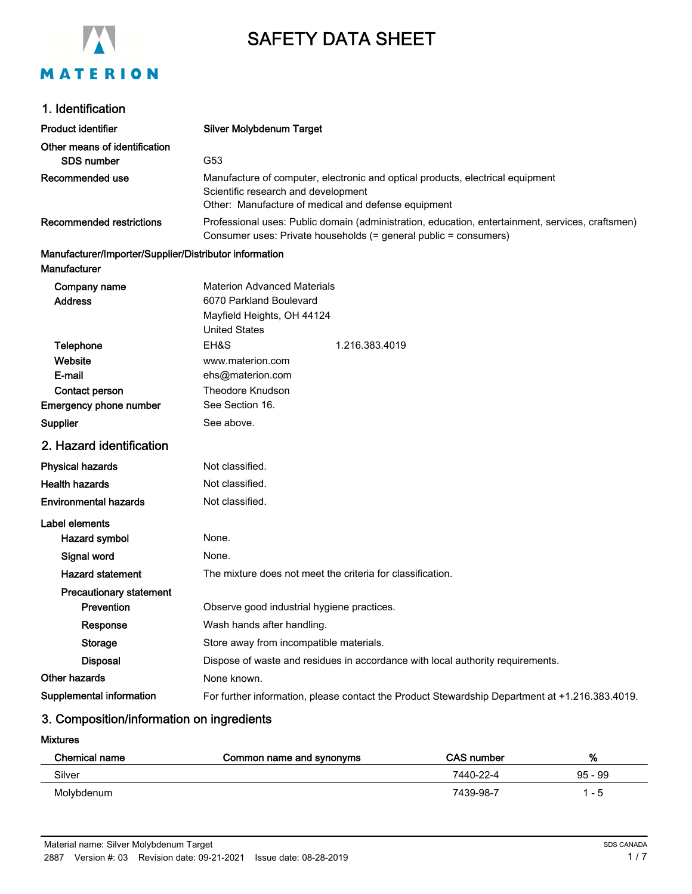

# SAFETY DATA SHEET

|  |  | 1. Identification |  |
|--|--|-------------------|--|
|--|--|-------------------|--|

Product identifier Silver Molybdenum Target Other means of identification SDS number G53 Manufacture of computer, electronic and optical products, electrical equipment Scientific research and development Other: Manufacture of medical and defense equipment Recommended use Professional uses: Public domain (administration, education, entertainment, services, craftsmen) Consumer uses: Private households (= general public = consumers) Recommended restrictions Manufacturer/Importer/Supplier/Distributor information **Manufacturer** Materion Advanced Materials Address 6070 Parkland Boulevard Company name Contact person **Website Telephone** EH&S 1.216.383.4019 Emergency phone number See Section 16. Theodore Knudson E-mail United States www.materion.com ehs@materion.com Mayfield Heights, OH 44124 Supplier Supplier See above. 2. Hazard identification Physical hazards Not classified. Health hazards Not classified. **Environmental hazards** Not classified. Label elements Hazard symbol None. Signal word None. Hazard statement The mixture does not meet the criteria for classification. Precautionary statement **Prevention CODE OBSERVE GOOD Industrial hygiene practices.** Response Wash hands after handling. Storage Store away from incompatible materials. Disposal **Dispose of waste and residues in accordance with local authority requirements.** Other hazards None known. Supplemental information For further information, please contact the Product Stewardship Department at +1.216.383.4019.

# 3. Composition/information on ingredients

Mixtures

| Chemical name | Common name and synonyms | <b>CAS number</b> | %         |
|---------------|--------------------------|-------------------|-----------|
| Silver        |                          | 7440-22-4         | $95 - 99$ |
| Molybdenum    |                          | 7439-98-7         | - 5       |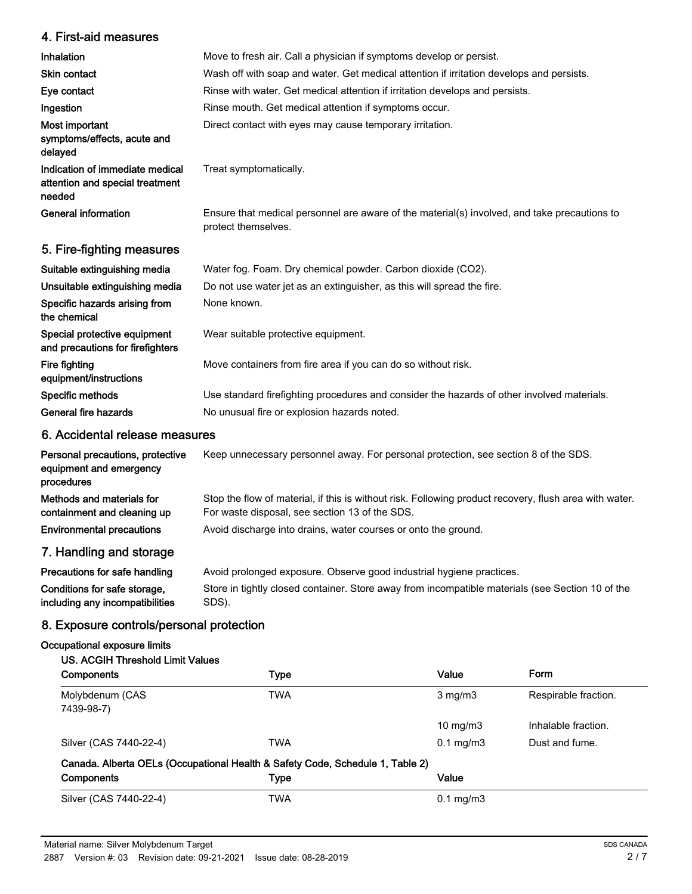# 4. First-aid measures

| 4. Filst-diu fileasures                                                      |                                                                                                                     |
|------------------------------------------------------------------------------|---------------------------------------------------------------------------------------------------------------------|
| Inhalation                                                                   | Move to fresh air. Call a physician if symptoms develop or persist.                                                 |
| <b>Skin contact</b>                                                          | Wash off with soap and water. Get medical attention if irritation develops and persists.                            |
| Eye contact                                                                  | Rinse with water. Get medical attention if irritation develops and persists.                                        |
| Ingestion                                                                    | Rinse mouth. Get medical attention if symptoms occur.                                                               |
| Most important<br>symptoms/effects, acute and<br>delayed                     | Direct contact with eyes may cause temporary irritation.                                                            |
| Indication of immediate medical<br>attention and special treatment<br>needed | Treat symptomatically.                                                                                              |
| <b>General information</b>                                                   | Ensure that medical personnel are aware of the material(s) involved, and take precautions to<br>protect themselves. |
| 5. Fire-fighting measures                                                    |                                                                                                                     |
| Suitable extinguishing media                                                 | Water fog. Foam. Dry chemical powder. Carbon dioxide (CO2).                                                         |
| Unsuitable extinguishing media                                               | Do not use water jet as an extinguisher, as this will spread the fire.                                              |
| Specific hazards arising from<br>the chemical                                | None known.                                                                                                         |
| Special protective equipment<br>and precautions for firefighters             | Wear suitable protective equipment.                                                                                 |
| Fire fighting<br>equipment/instructions                                      | Move containers from fire area if you can do so without risk.                                                       |
| Specific methods                                                             | Use standard firefighting procedures and consider the hazards of other involved materials.                          |
| General fire hazards                                                         | No unusual fire or explosion hazards noted.                                                                         |

# 6. Accidental release measures

| Personal precautions, protective<br>equipment and emergency<br>procedures | Keep unnecessary personnel away. For personal protection, see section 8 of the SDS.                                                                      |
|---------------------------------------------------------------------------|----------------------------------------------------------------------------------------------------------------------------------------------------------|
| Methods and materials for<br>containment and cleaning up                  | Stop the flow of material, if this is without risk. Following product recovery, flush area with water.<br>For waste disposal, see section 13 of the SDS. |
| <b>Environmental precautions</b>                                          | Avoid discharge into drains, water courses or onto the ground.                                                                                           |
| 7. Handling and storage                                                   |                                                                                                                                                          |
| Precautions for safe handling                                             | Avoid prolonged exposure Observe good industrial hygiene practices                                                                                       |

| Precautions for safe handling   | Avoid prolonged exposure. Observe good industrial hygiene practices.                             |
|---------------------------------|--------------------------------------------------------------------------------------------------|
| Conditions for safe storage,    | Store in tightly closed container. Store away from incompatible materials (see Section 10 of the |
| including any incompatibilities | SDS).                                                                                            |

# 8. Exposure controls/personal protection

#### Occupational exposure limits

### US. ACGIH Threshold Limit Values

| <b>Components</b>                                                             | Type       | Value                  | Form                 |
|-------------------------------------------------------------------------------|------------|------------------------|----------------------|
| Molybdenum (CAS<br>7439-98-7)                                                 | TWA        | $3 \text{ mg/m}$       | Respirable fraction. |
|                                                                               |            | $10 \text{ mg/m}$      | Inhalable fraction.  |
| Silver (CAS 7440-22-4)                                                        | <b>TWA</b> | $0.1 \,\mathrm{mg/m3}$ | Dust and fume.       |
| Canada. Alberta OELs (Occupational Health & Safety Code, Schedule 1, Table 2) |            |                        |                      |
| Components                                                                    | Type       | Value                  |                      |
| Silver (CAS 7440-22-4)                                                        | TWA        | $0.1 \,\mathrm{mg/m3}$ |                      |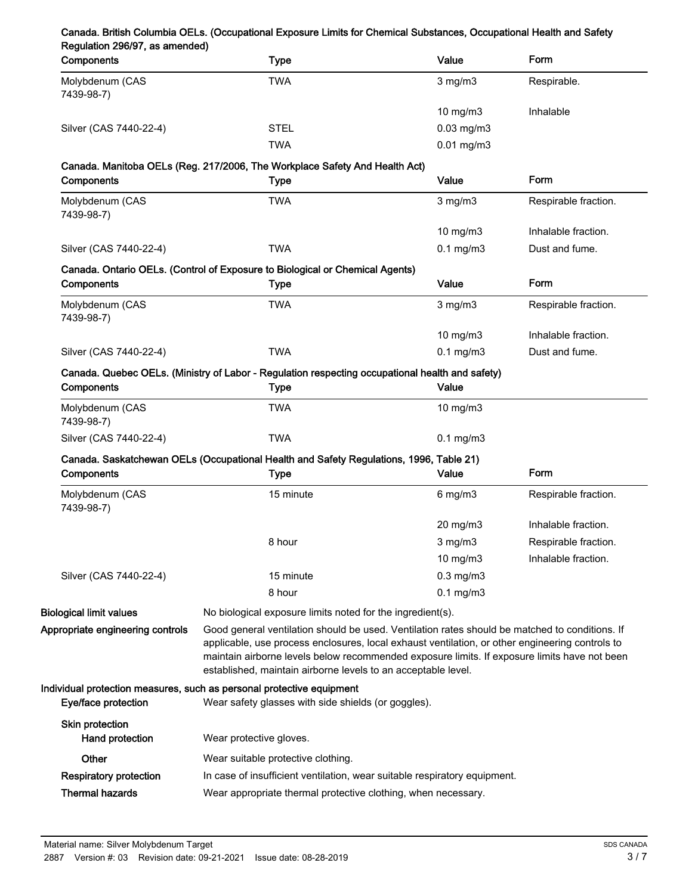| Components                         | <b>Type</b>                                                                                                                                                                                                                                                                                                                                                        | Value             | Form                 |  |
|------------------------------------|--------------------------------------------------------------------------------------------------------------------------------------------------------------------------------------------------------------------------------------------------------------------------------------------------------------------------------------------------------------------|-------------------|----------------------|--|
| Molybdenum (CAS<br>7439-98-7)      | <b>TWA</b>                                                                                                                                                                                                                                                                                                                                                         | $3$ mg/m $3$      | Respirable.          |  |
|                                    |                                                                                                                                                                                                                                                                                                                                                                    | $10$ mg/m $3$     | Inhalable            |  |
| Silver (CAS 7440-22-4)             | <b>STEL</b>                                                                                                                                                                                                                                                                                                                                                        | $0.03$ mg/m $3$   |                      |  |
|                                    | <b>TWA</b>                                                                                                                                                                                                                                                                                                                                                         | $0.01$ mg/m $3$   |                      |  |
|                                    | Canada. Manitoba OELs (Reg. 217/2006, The Workplace Safety And Health Act)                                                                                                                                                                                                                                                                                         |                   |                      |  |
| Components                         | <b>Type</b>                                                                                                                                                                                                                                                                                                                                                        | Value             | Form                 |  |
| Molybdenum (CAS<br>7439-98-7)      | <b>TWA</b>                                                                                                                                                                                                                                                                                                                                                         | $3$ mg/m $3$      | Respirable fraction. |  |
|                                    |                                                                                                                                                                                                                                                                                                                                                                    | 10 mg/m3          | Inhalable fraction.  |  |
| Silver (CAS 7440-22-4)             | <b>TWA</b>                                                                                                                                                                                                                                                                                                                                                         | $0.1$ mg/m $3$    | Dust and fume.       |  |
|                                    | Canada. Ontario OELs. (Control of Exposure to Biological or Chemical Agents)                                                                                                                                                                                                                                                                                       |                   |                      |  |
| Components                         | Type                                                                                                                                                                                                                                                                                                                                                               | Value             | Form                 |  |
| Molybdenum (CAS<br>7439-98-7)      | <b>TWA</b>                                                                                                                                                                                                                                                                                                                                                         | $3$ mg/m $3$      | Respirable fraction. |  |
|                                    |                                                                                                                                                                                                                                                                                                                                                                    | 10 mg/m3          | Inhalable fraction.  |  |
| Silver (CAS 7440-22-4)             | <b>TWA</b>                                                                                                                                                                                                                                                                                                                                                         | $0.1$ mg/m $3$    | Dust and fume.       |  |
| Components                         | Canada. Quebec OELs. (Ministry of Labor - Regulation respecting occupational health and safety)<br><b>Type</b>                                                                                                                                                                                                                                                     | Value             |                      |  |
| Molybdenum (CAS<br>7439-98-7)      | <b>TWA</b>                                                                                                                                                                                                                                                                                                                                                         | $10 \text{ mg/m}$ |                      |  |
| Silver (CAS 7440-22-4)             | <b>TWA</b>                                                                                                                                                                                                                                                                                                                                                         | $0.1$ mg/m $3$    |                      |  |
|                                    | Canada. Saskatchewan OELs (Occupational Health and Safety Regulations, 1996, Table 21)                                                                                                                                                                                                                                                                             |                   |                      |  |
| Components                         | <b>Type</b>                                                                                                                                                                                                                                                                                                                                                        | Value             | Form                 |  |
| Molybdenum (CAS<br>7439-98-7)      | 15 minute                                                                                                                                                                                                                                                                                                                                                          | $6$ mg/m $3$      | Respirable fraction. |  |
|                                    |                                                                                                                                                                                                                                                                                                                                                                    | $20$ mg/m $3$     | Inhalable fraction.  |  |
|                                    | 8 hour                                                                                                                                                                                                                                                                                                                                                             | $3$ mg/m $3$      | Respirable fraction. |  |
|                                    |                                                                                                                                                                                                                                                                                                                                                                    | 10 mg/m3          | Inhalable fraction.  |  |
| Silver (CAS 7440-22-4)             | 15 minute                                                                                                                                                                                                                                                                                                                                                          | $0.3$ mg/m $3$    |                      |  |
|                                    | 8 hour                                                                                                                                                                                                                                                                                                                                                             | $0.1$ mg/m $3$    |                      |  |
| <b>Biological limit values</b>     | No biological exposure limits noted for the ingredient(s).                                                                                                                                                                                                                                                                                                         |                   |                      |  |
| Appropriate engineering controls   | Good general ventilation should be used. Ventilation rates should be matched to conditions. If<br>applicable, use process enclosures, local exhaust ventilation, or other engineering controls to<br>maintain airborne levels below recommended exposure limits. If exposure limits have not been<br>established, maintain airborne levels to an acceptable level. |                   |                      |  |
| Eye/face protection                | Individual protection measures, such as personal protective equipment<br>Wear safety glasses with side shields (or goggles).                                                                                                                                                                                                                                       |                   |                      |  |
| Skin protection<br>Hand protection | Wear protective gloves.                                                                                                                                                                                                                                                                                                                                            |                   |                      |  |
| Other                              | Wear suitable protective clothing.                                                                                                                                                                                                                                                                                                                                 |                   |                      |  |
| <b>Respiratory protection</b>      | In case of insufficient ventilation, wear suitable respiratory equipment.                                                                                                                                                                                                                                                                                          |                   |                      |  |
|                                    |                                                                                                                                                                                                                                                                                                                                                                    |                   |                      |  |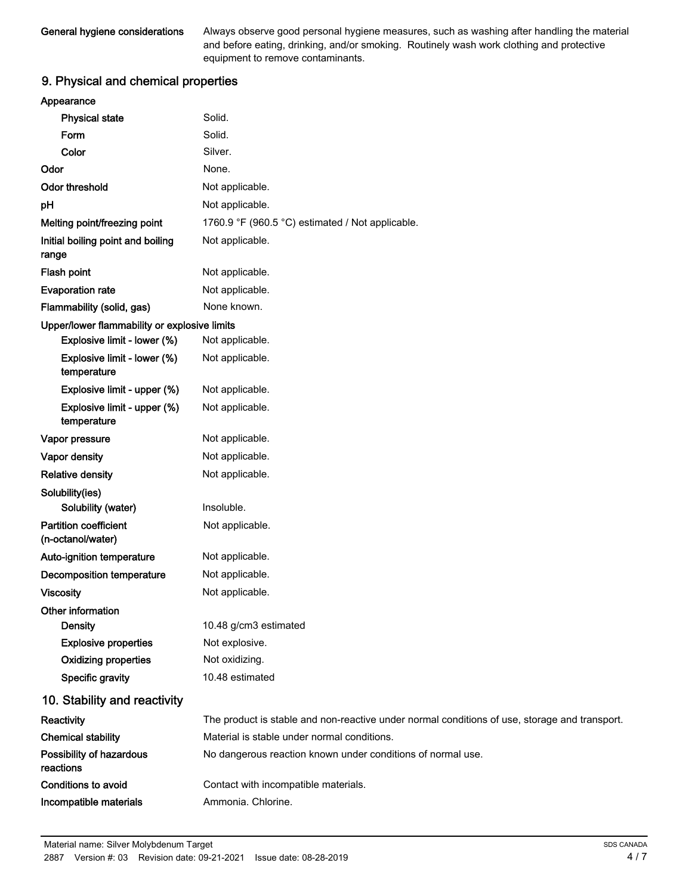Always observe good personal hygiene measures, such as washing after handling the material and before eating, drinking, and/or smoking. Routinely wash work clothing and protective equipment to remove contaminants.

# 9. Physical and chemical properties

| Appearance                                        |                                                                                               |
|---------------------------------------------------|-----------------------------------------------------------------------------------------------|
| <b>Physical state</b>                             | Solid.                                                                                        |
| Form                                              | Solid.                                                                                        |
| Color                                             | Silver.                                                                                       |
| Odor                                              | None.                                                                                         |
| <b>Odor threshold</b>                             | Not applicable.                                                                               |
| pH                                                | Not applicable.                                                                               |
| Melting point/freezing point                      | 1760.9 °F (960.5 °C) estimated / Not applicable.                                              |
| Initial boiling point and boiling<br>range        | Not applicable.                                                                               |
| Flash point                                       | Not applicable.                                                                               |
| <b>Evaporation rate</b>                           | Not applicable.                                                                               |
| Flammability (solid, gas)                         | None known.                                                                                   |
| Upper/lower flammability or explosive limits      |                                                                                               |
| Explosive limit - lower (%)                       | Not applicable.                                                                               |
| Explosive limit - lower (%)<br>temperature        | Not applicable.                                                                               |
| Explosive limit - upper (%)                       | Not applicable.                                                                               |
| Explosive limit - upper (%)<br>temperature        | Not applicable.                                                                               |
| Vapor pressure                                    | Not applicable.                                                                               |
| Vapor density                                     | Not applicable.                                                                               |
| <b>Relative density</b>                           | Not applicable.                                                                               |
| Solubility(ies)                                   |                                                                                               |
| Solubility (water)                                | Insoluble.                                                                                    |
| <b>Partition coefficient</b><br>(n-octanol/water) | Not applicable.                                                                               |
| Auto-ignition temperature                         | Not applicable.                                                                               |
| <b>Decomposition temperature</b>                  | Not applicable.                                                                               |
| <b>Viscosity</b>                                  | Not applicable.                                                                               |
| Other information                                 |                                                                                               |
| <b>Density</b>                                    | 10.48 g/cm3 estimated                                                                         |
| <b>Explosive properties</b>                       | Not explosive.                                                                                |
| <b>Oxidizing properties</b>                       | Not oxidizing.                                                                                |
| Specific gravity                                  | 10.48 estimated                                                                               |
| 10. Stability and reactivity                      |                                                                                               |
| Reactivity                                        | The product is stable and non-reactive under normal conditions of use, storage and transport. |
| <b>Chemical stability</b>                         | Material is stable under normal conditions.                                                   |
| Possibility of hazardous<br>reactions             | No dangerous reaction known under conditions of normal use.                                   |
| <b>Conditions to avoid</b>                        | Contact with incompatible materials.                                                          |
| Incompatible materials                            | Ammonia. Chlorine.                                                                            |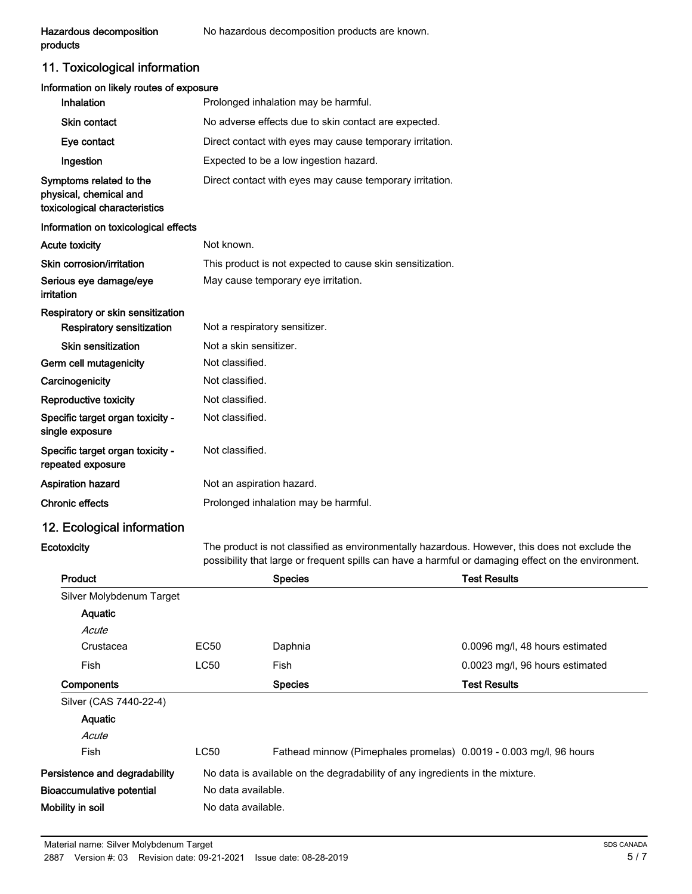# 11. Toxicological information

| Information on likely routes of exposure                                           |                                                           |
|------------------------------------------------------------------------------------|-----------------------------------------------------------|
| Inhalation                                                                         | Prolonged inhalation may be harmful.                      |
| <b>Skin contact</b>                                                                | No adverse effects due to skin contact are expected.      |
| Eye contact                                                                        | Direct contact with eyes may cause temporary irritation.  |
| Ingestion                                                                          | Expected to be a low ingestion hazard.                    |
| Symptoms related to the<br>physical, chemical and<br>toxicological characteristics | Direct contact with eyes may cause temporary irritation.  |
| Information on toxicological effects                                               |                                                           |
| <b>Acute toxicity</b>                                                              | Not known.                                                |
| Skin corrosion/irritation                                                          | This product is not expected to cause skin sensitization. |
| Serious eye damage/eye<br>irritation                                               | May cause temporary eye irritation.                       |
| Respiratory or skin sensitization                                                  |                                                           |
| Respiratory sensitization                                                          | Not a respiratory sensitizer.                             |
| Skin sensitization                                                                 | Not a skin sensitizer.                                    |
| Germ cell mutagenicity                                                             | Not classified.                                           |
| Carcinogenicity                                                                    | Not classified.                                           |
| Reproductive toxicity                                                              | Not classified.                                           |
| Specific target organ toxicity -<br>single exposure                                | Not classified.                                           |
| Specific target organ toxicity -<br>repeated exposure                              | Not classified.                                           |
| Aspiration hazard                                                                  | Not an aspiration hazard.                                 |
| <b>Chronic effects</b>                                                             | Prolonged inhalation may be harmful.                      |
| 12. Ecological information                                                         |                                                           |

**Ecotoxicity** 

The product is not classified as environmentally hazardous. However, this does not exclude the possibility that large or frequent spills can have a harmful or damaging effect on the environment.

|                                                                              | <b>Species</b>                                                     | <b>Test Results</b>                      |
|------------------------------------------------------------------------------|--------------------------------------------------------------------|------------------------------------------|
|                                                                              |                                                                    |                                          |
|                                                                              |                                                                    |                                          |
|                                                                              |                                                                    |                                          |
| EC50                                                                         | Daphnia                                                            | 0.0096 mg/l, 48 hours estimated          |
| LC50                                                                         | Fish                                                               | 0.0023 mg/l, 96 hours estimated          |
|                                                                              | <b>Species</b>                                                     | <b>Test Results</b>                      |
|                                                                              |                                                                    |                                          |
|                                                                              |                                                                    |                                          |
|                                                                              |                                                                    |                                          |
| LC50                                                                         | Fathead minnow (Pimephales promelas) 0.0019 - 0.003 mg/l, 96 hours |                                          |
| No data is available on the degradability of any ingredients in the mixture. |                                                                    |                                          |
|                                                                              |                                                                    |                                          |
|                                                                              |                                                                    |                                          |
|                                                                              |                                                                    | No data available.<br>No data available. |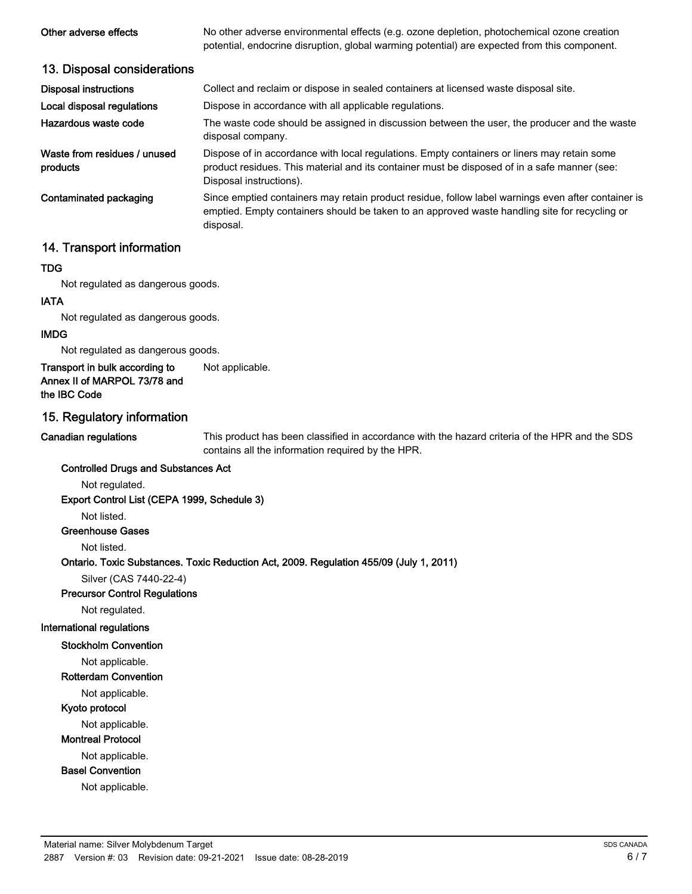| Other adverse effects                    | No other adverse environmental effects (e.g. ozone depletion, photochemical ozone creation<br>potential, endocrine disruption, global warming potential) are expected from this component.                             |
|------------------------------------------|------------------------------------------------------------------------------------------------------------------------------------------------------------------------------------------------------------------------|
| 13. Disposal considerations              |                                                                                                                                                                                                                        |
| <b>Disposal instructions</b>             | Collect and reclaim or dispose in sealed containers at licensed waste disposal site.                                                                                                                                   |
| Local disposal regulations               | Dispose in accordance with all applicable regulations.                                                                                                                                                                 |
| Hazardous waste code                     | The waste code should be assigned in discussion between the user, the producer and the waste<br>disposal company.                                                                                                      |
| Waste from residues / unused<br>products | Dispose of in accordance with local regulations. Empty containers or liners may retain some<br>product residues. This material and its container must be disposed of in a safe manner (see:<br>Disposal instructions). |
| Contaminated packaging                   | Since emptied containers may retain product residue, follow label warnings even after container is<br>emptied. Empty containers should be taken to an approved waste handling site for recycling or<br>disposal.       |

### 14. Transport information

#### TDG

Not regulated as dangerous goods.

#### IATA

Not regulated as dangerous goods.

#### IMDG

Not regulated as dangerous goods.

#### Transport in bulk according to Not applicable. Annex II of MARPOL 73/78 and the IBC Code

#### 15. Regulatory information

#### Canadian regulations

This product has been classified in accordance with the hazard criteria of the HPR and the SDS contains all the information required by the HPR.

#### Controlled Drugs and Substances Act

Not regulated.

Export Control List (CEPA 1999, Schedule 3)

Not listed.

#### Greenhouse Gases

Not listed.

#### Ontario. Toxic Substances. Toxic Reduction Act, 2009. Regulation 455/09 (July 1, 2011)

Silver (CAS 7440-22-4)

#### Precursor Control Regulations

Not regulated.

#### International regulations

Stockholm Convention

#### Not applicable.

#### Rotterdam Convention

Not applicable.

#### Kyoto protocol

Not applicable.

#### Montreal Protocol

Not applicable.

#### Basel Convention

Not applicable.